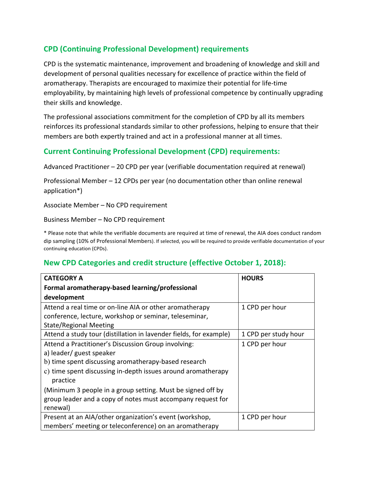# **CPD (Continuing Professional Development) requirements**

CPD is the systematic maintenance, improvement and broadening of knowledge and skill and development of personal qualities necessary for excellence of practice within the field of aromatherapy. Therapists are encouraged to maximize their potential for life-time employability, by maintaining high levels of professional competence by continually upgrading their skills and knowledge.

The professional associations commitment for the completion of CPD by all its members reinforces its professional standards similar to other professions, helping to ensure that their members are both expertly trained and act in a professional manner at all times.

### **Current Continuing Professional Development (CPD) requirements:**

Advanced Practitioner  $-$  20 CPD per year (verifiable documentation required at renewal)

Professional Member  $-12$  CPDs per year (no documentation other than online renewal application\*) 

Associate Member - No CPD requirement

Business Member - No CPD requirement

\* Please note that while the verifiable documents are required at time of renewal, the AIA does conduct random dip sampling (10% of Professional Members). If selected, you will be required to provide verifiable documentation of your continuing education (CPDs).

## **New CPD Categories and credit structure (effective October 1, 2018):**

| <b>CATEGORY A</b>                                                  | <b>HOURS</b>         |
|--------------------------------------------------------------------|----------------------|
| Formal aromatherapy-based learning/professional                    |                      |
| development                                                        |                      |
| Attend a real time or on-line AIA or other aromatherapy            | 1 CPD per hour       |
| conference, lecture, workshop or seminar, teleseminar,             |                      |
| <b>State/Regional Meeting</b>                                      |                      |
| Attend a study tour (distillation in lavender fields, for example) | 1 CPD per study hour |
| Attend a Practitioner's Discussion Group involving:                | 1 CPD per hour       |
| a) leader/ guest speaker                                           |                      |
| b) time spent discussing aromatherapy-based research               |                      |
| c) time spent discussing in-depth issues around aromatherapy       |                      |
| practice                                                           |                      |
| (Minimum 3 people in a group setting. Must be signed off by        |                      |
| group leader and a copy of notes must accompany request for        |                      |
| renewal)                                                           |                      |
| Present at an AIA/other organization's event (workshop,            | 1 CPD per hour       |
| members' meeting or teleconference) on an aromatherapy             |                      |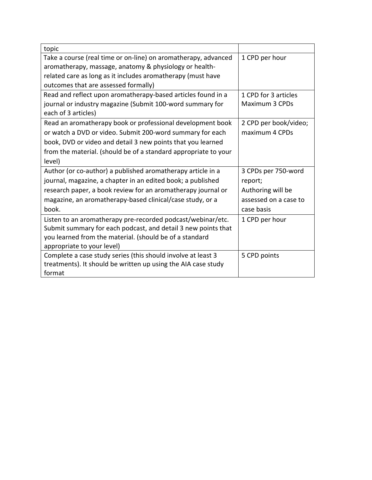| topic                                                                                                                    |                       |
|--------------------------------------------------------------------------------------------------------------------------|-----------------------|
| Take a course (real time or on-line) on aromatherapy, advanced<br>aromatherapy, massage, anatomy & physiology or health- | 1 CPD per hour        |
| related care as long as it includes aromatherapy (must have                                                              |                       |
| outcomes that are assessed formally)                                                                                     |                       |
| Read and reflect upon aromatherapy-based articles found in a                                                             | 1 CPD for 3 articles  |
| journal or industry magazine (Submit 100-word summary for                                                                | Maximum 3 CPDs        |
| each of 3 articles)                                                                                                      |                       |
| Read an aromatherapy book or professional development book                                                               | 2 CPD per book/video; |
| or watch a DVD or video. Submit 200-word summary for each                                                                | maximum 4 CPDs        |
| book, DVD or video and detail 3 new points that you learned                                                              |                       |
| from the material. (should be of a standard appropriate to your                                                          |                       |
| level)                                                                                                                   |                       |
| Author (or co-author) a published aromatherapy article in a                                                              | 3 CPDs per 750-word   |
| journal, magazine, a chapter in an edited book; a published                                                              | report;               |
| research paper, a book review for an aromatherapy journal or                                                             | Authoring will be     |
| magazine, an aromatherapy-based clinical/case study, or a                                                                | assessed on a case to |
| book.                                                                                                                    | case basis            |
| Listen to an aromatherapy pre-recorded podcast/webinar/etc.                                                              | 1 CPD per hour        |
| Submit summary for each podcast, and detail 3 new points that                                                            |                       |
| you learned from the material. (should be of a standard                                                                  |                       |
| appropriate to your level)                                                                                               |                       |
| Complete a case study series (this should involve at least 3                                                             | 5 CPD points          |
| treatments). It should be written up using the AIA case study                                                            |                       |
| format                                                                                                                   |                       |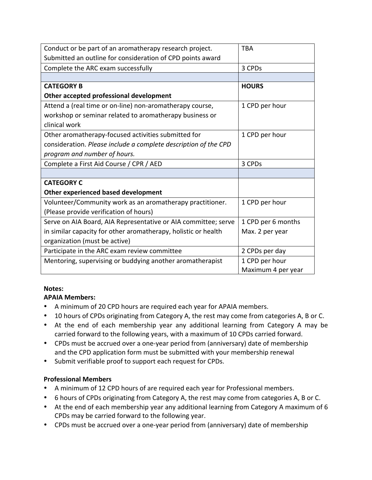| Conduct or be part of an aromatherapy research project.         | <b>TBA</b>         |
|-----------------------------------------------------------------|--------------------|
| Submitted an outline for consideration of CPD points award      |                    |
| Complete the ARC exam successfully                              | 3 CPDs             |
|                                                                 |                    |
| <b>CATEGORY B</b>                                               | <b>HOURS</b>       |
| Other accepted professional development                         |                    |
| Attend a (real time or on-line) non-aromatherapy course,        | 1 CPD per hour     |
| workshop or seminar related to aromatherapy business or         |                    |
| clinical work                                                   |                    |
| Other aromatherapy-focused activities submitted for             | 1 CPD per hour     |
| consideration. Please include a complete description of the CPD |                    |
| program and number of hours.                                    |                    |
| Complete a First Aid Course / CPR / AED                         | 3 CPDs             |
|                                                                 |                    |
| <b>CATEGORY C</b>                                               |                    |
| Other experienced based development                             |                    |
| Volunteer/Community work as an aromatherapy practitioner.       | 1 CPD per hour     |
| (Please provide verification of hours)                          |                    |
| Serve on AIA Board, AIA Representative or AIA committee; serve  | 1 CPD per 6 months |
| in similar capacity for other aromatherapy, holistic or health  | Max. 2 per year    |
| organization (must be active)                                   |                    |
| Participate in the ARC exam review committee                    | 2 CPDs per day     |
| Mentoring, supervising or buddying another aromatherapist       | 1 CPD per hour     |
|                                                                 | Maximum 4 per year |

#### **Notes:**

#### **APAIA Members:**

- A minimum of 20 CPD hours are required each year for APAIA members.
- 10 hours of CPDs originating from Category A, the rest may come from categories A, B or C.
- At the end of each membership year any additional learning from Category A may be carried forward to the following years, with a maximum of 10 CPDs carried forward.
- CPDs must be accrued over a one-year period from (anniversary) date of membership and the CPD application form must be submitted with your membership renewal
- Submit verifiable proof to support each request for CPDs.

#### **Professional Members**

- A minimum of 12 CPD hours of are required each year for Professional members.
- 6 hours of CPDs originating from Category A, the rest may come from categories A, B or C.
- At the end of each membership year any additional learning from Category A maximum of 6 CPDs may be carried forward to the following year.
- CPDs must be accrued over a one-year period from (anniversary) date of membership